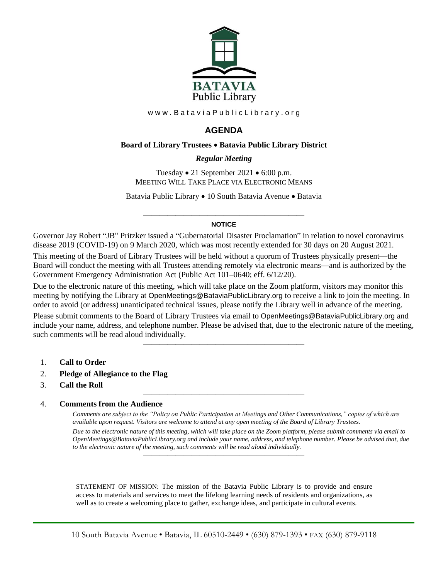

www.BataviaPublicLibrary.org

# **AGENDA**

### **Board of Library Trustees** • **Batavia Public Library District**

### *0BRegular Meeting*

Tuesday • 21 September 2021 • 6:00 p.m. MEETING WILL TAKE PLACE VIA ELECTRONIC MEANS

Batavia Public Library • 10 South Batavia Avenue • Batavia

#### ———————————————————— **NOTICE**

Governor Jay Robert "JB" Pritzker issued a "Gubernatorial Disaster Proclamation" in relation to novel coronavirus disease 2019 (COVID-19) on 9 March 2020, which was most recently extended for 30 days on 20 August 2021.

This meeting of the Board of Library Trustees will be held without a quorum of Trustees physically present—the Board will conduct the meeting with all Trustees attending remotely via electronic means—and is authorized by the Government Emergency Administration Act (Public Act 101–0640; eff. 6/12/20).

Due to the electronic nature of this meeting, which will take place on the Zoom platform, visitors may monitor this meeting by notifying the Library at OpenMeetings@BataviaPublicLibrary.org to receive a link to join the meeting. In order to avoid (or address) unanticipated technical issues, please notify the Library well in advance of the meeting.

Please submit comments to the Board of Library Trustees via email to OpenMeetings@BataviaPublicLibrary.org and include your name, address, and telephone number. Please be advised that, due to the electronic nature of the meeting, such comments will be read aloud individually.

————————————————————

————————————————————

- 1. **Call to Order**
- 2. **Pledge of Allegiance to the Flag**
- 3. **Call the Roll**

### 4. **Comments from the Audience**

*Comments are subject to the "Policy on Public Participation at Meetings and Other Communications," copies of which are available upon request. Visitors are welcome to attend at any open meeting of the Board of Library Trustees. Due to the electronic nature of this meeting, which will take place on the Zoom platform, please submit comments via email to OpenMeetings@BataviaPublicLibrary.org and include your name, address, and telephone number. Please be advised that, due to the electronic nature of the meeting, such comments will be read aloud individually.*

STATEMENT OF MISSION: The mission of the Batavia Public Library is to provide and ensure access to materials and services to meet the lifelong learning needs of residents and organizations, as well as to create a welcoming place to gather, exchange ideas, and participate in cultural events.

————————————————————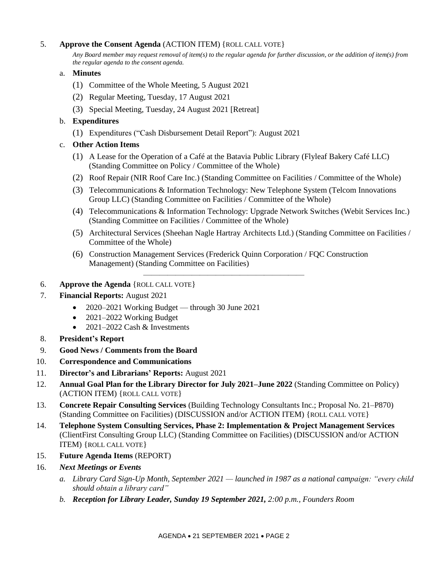# 5. **Approve the Consent Agenda** (ACTION ITEM) {ROLL CALL VOTE}

*Any Board member may request removal of item(s) to the regular agenda for further discussion, or the addition of item(s) from the regular agenda to the consent agenda.*

### a. **Minutes**

- (1) Committee of the Whole Meeting, 5 August 2021
- (2) Regular Meeting, Tuesday, 17 August 2021
- (3) Special Meeting, Tuesday, 24 August 2021 [Retreat]

# b. **Expenditures**

- (1) Expenditures ("Cash Disbursement Detail Report"): August 2021
- c. **Other Action Items**
	- (1) A Lease for the Operation of a Café at the Batavia Public Library (Flyleaf Bakery Café LLC) (Standing Committee on Policy / Committee of the Whole)
	- (2) Roof Repair (NIR Roof Care Inc.) (Standing Committee on Facilities / Committee of the Whole)
	- (3) Telecommunications & Information Technology: New Telephone System (Telcom Innovations Group LLC) (Standing Committee on Facilities / Committee of the Whole)
	- (4) Telecommunications & Information Technology: Upgrade Network Switches (Webit Services Inc.) (Standing Committee on Facilities / Committee of the Whole)
	- (5) Architectural Services (Sheehan Nagle Hartray Architects Ltd.) (Standing Committee on Facilities / Committee of the Whole)
	- (6) Construction Management Services (Frederick Quinn Corporation / FQC Construction Management) (Standing Committee on Facilities)

————————————————————

- 6. **Approve the Agenda** {ROLL CALL VOTE}
- 7. **Financial Reports:** August 2021
	- 2020–2021 Working Budget through 30 June 2021
	- 2021–2022 Working Budget
	- 2021–2022 Cash & Investments
- 8. **President's Report**
- 9. **Good News / Comments from the Board**
- 10. **Correspondence and Communications**
- 11. **Director's and Librarians' Reports:** August 2021
- 12. **Annual Goal Plan for the Library Director for July 2021–June 2022** (Standing Committee on Policy) (ACTION ITEM) {ROLL CALL VOTE}
- 13. **Concrete Repair Consulting Services** (Building Technology Consultants Inc.; Proposal No. 21–P870) (Standing Committee on Facilities) (DISCUSSION and/or ACTION ITEM) {ROLL CALL VOTE}
- 14. **Telephone System Consulting Services, Phase 2: Implementation & Project Management Services** (ClientFirst Consulting Group LLC) (Standing Committee on Facilities) (DISCUSSION and/or ACTION ITEM) {ROLL CALL VOTE}
- 15. **Future Agenda Items** (REPORT)
- 16. *Next Meetings or Events*
	- *a. Library Card Sign-Up Month, September 2021 — launched in 1987 as a national campaign: "every child should obtain a library card"*
	- *b. Reception for Library Leader, Sunday 19 September 2021, 2:00 p.m., Founders Room*